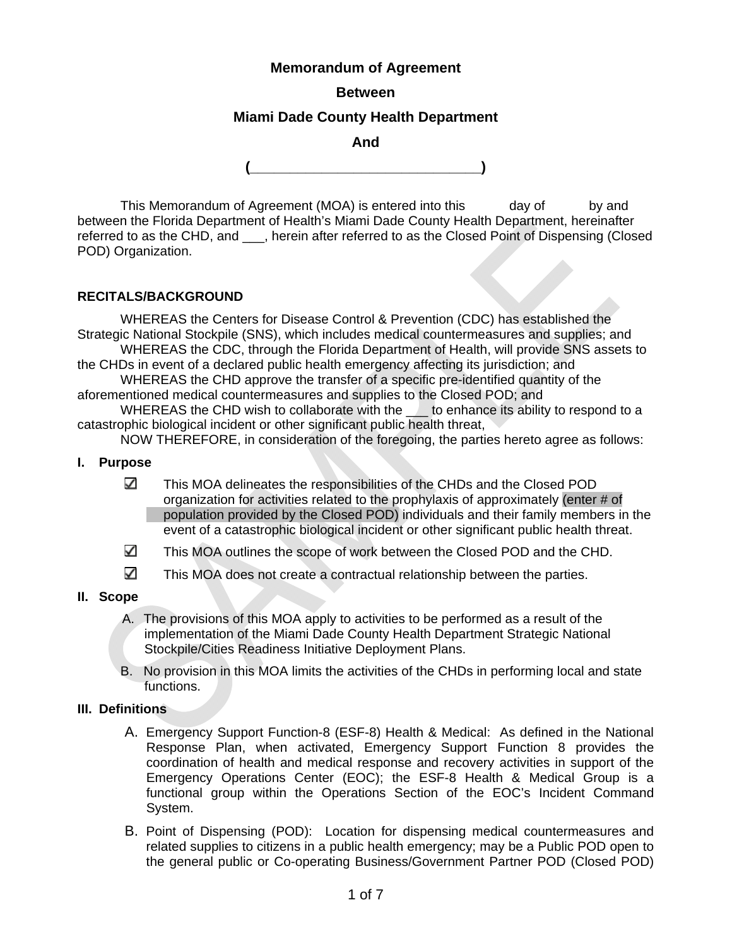## **Memorandum of Agreement**

### **Between**

## **Miami Dade County Health Department**

**And** 

**(\_\_\_\_\_\_\_\_\_\_\_\_\_\_\_\_\_\_\_\_\_\_\_\_\_\_\_\_\_)** 

This Memorandum of Agreement (MOA) is entered into this day of by and between the Florida Department of Health's Miami Dade County Health Department, hereinafter referred to as the CHD, and \_\_\_, herein after referred to as the Closed Point of Dispensing (Closed POD) Organization.

#### **RECITALS/BACKGROUND**

 WHEREAS the Centers for Disease Control & Prevention (CDC) has established the Strategic National Stockpile (SNS), which includes medical countermeasures and supplies; and WHEREAS the CDC, through the Florida Department of Health, will provide SNS assets to

the CHDs in event of a declared public health emergency affecting its jurisdiction; and

 WHEREAS the CHD approve the transfer of a specific pre-identified quantity of the aforementioned medical countermeasures and supplies to the Closed POD; and

WHEREAS the CHD wish to collaborate with the same to enhance its ability to respond to a catastrophic biological incident or other significant public health threat,

NOW THEREFORE, in consideration of the foregoing, the parties hereto agree as follows:

#### **I. Purpose**

- ✓ This MOA delineates the responsibilities of the CHDs and the Closed POD organization for activities related to the prophylaxis of approximately (enter # of population provided by the Closed POD) individuals and their family members in the event of a catastrophic biological incident or other significant public health threat.
- ✓ This MOA outlines the scope of work between the Closed POD and the CHD.
- $\checkmark$ This MOA does not create a contractual relationship between the parties.

#### **II. Scope**

- A. The provisions of this MOA apply to activities to be performed as a result of the implementation of the Miami Dade County Health Department Strategic National Stockpile/Cities Readiness Initiative Deployment Plans.
- B. No provision in this MOA limits the activities of the CHDs in performing local and state functions.

#### **III. Definitions**

- A. Emergency Support Function-8 (ESF-8) Health & Medical: As defined in the National Response Plan, when activated, Emergency Support Function 8 provides the coordination of health and medical response and recovery activities in support of the Emergency Operations Center (EOC); the ESF-8 Health & Medical Group is a functional group within the Operations Section of the EOC's Incident Command System.
- B. Point of Dispensing (POD): Location for dispensing medical countermeasures and related supplies to citizens in a public health emergency; may be a Public POD open to the general public or Co-operating Business/Government Partner POD (Closed POD)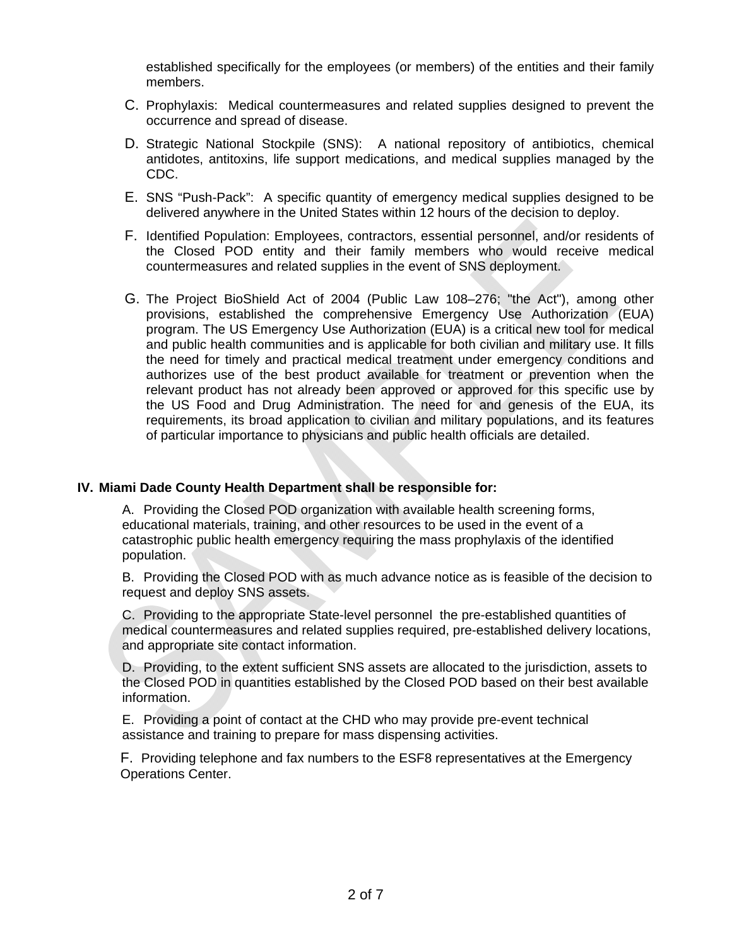established specifically for the employees (or members) of the entities and their family members.

- C. Prophylaxis: Medical countermeasures and related supplies designed to prevent the occurrence and spread of disease.
- D. Strategic National Stockpile (SNS): A national repository of antibiotics, chemical antidotes, antitoxins, life support medications, and medical supplies managed by the CDC.
- E. SNS "Push-Pack": A specific quantity of emergency medical supplies designed to be delivered anywhere in the United States within 12 hours of the decision to deploy.
- F. Identified Population: Employees, contractors, essential personnel, and/or residents of the Closed POD entity and their family members who would receive medical countermeasures and related supplies in the event of SNS deployment.
- G. The Project BioShield Act of 2004 (Public Law 108–276; "the Act"), among other provisions, established the comprehensive Emergency Use Authorization (EUA) program. The US Emergency Use Authorization (EUA) is a critical new tool for medical and public health communities and is applicable for both civilian and military use. It fills the need for timely and practical medical treatment under emergency conditions and authorizes use of the best product available for treatment or prevention when the relevant product has not already been approved or approved for this specific use by the US Food and Drug Administration. The need for and genesis of the EUA, its requirements, its broad application to civilian and military populations, and its features of particular importance to physicians and public health officials are detailed.

#### **IV. Miami Dade County Health Department shall be responsible for:**

A. Providing the Closed POD organization with available health screening forms, educational materials, training, and other resources to be used in the event of a catastrophic public health emergency requiring the mass prophylaxis of the identified population.

B. Providing the Closed POD with as much advance notice as is feasible of the decision to request and deploy SNS assets.

C. Providing to the appropriate State-level personnel the pre-established quantities of medical countermeasures and related supplies required, pre-established delivery locations, and appropriate site contact information.

D. Providing, to the extent sufficient SNS assets are allocated to the jurisdiction, assets to the Closed POD in quantities established by the Closed POD based on their best available information.

E. Providing a point of contact at the CHD who may provide pre-event technical assistance and training to prepare for mass dispensing activities.

 F. Providing telephone and fax numbers to the ESF8 representatives at the Emergency Operations Center.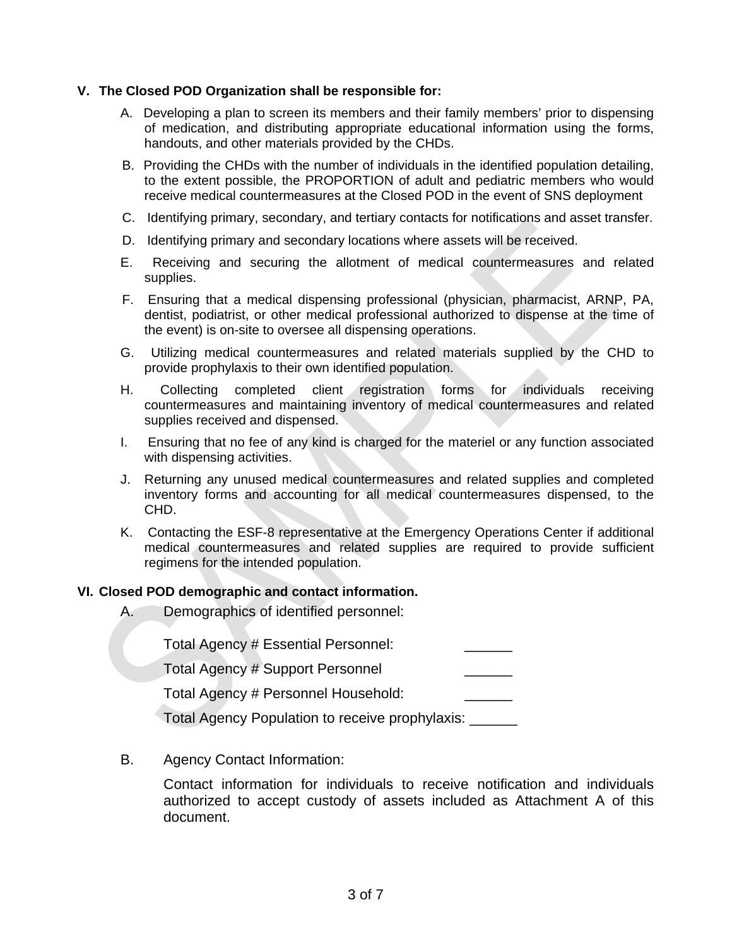#### **V. The Closed POD Organization shall be responsible for:**

- A. Developing a plan to screen its members and their family members' prior to dispensing of medication, and distributing appropriate educational information using the forms, handouts, and other materials provided by the CHDs.
- B. Providing the CHDs with the number of individuals in the identified population detailing, to the extent possible, the PROPORTION of adult and pediatric members who would receive medical countermeasures at the Closed POD in the event of SNS deployment
- C. Identifying primary, secondary, and tertiary contacts for notifications and asset transfer.
- D. Identifying primary and secondary locations where assets will be received.
- E. Receiving and securing the allotment of medical countermeasures and related supplies.
- F. Ensuring that a medical dispensing professional (physician, pharmacist, ARNP, PA, dentist, podiatrist, or other medical professional authorized to dispense at the time of the event) is on-site to oversee all dispensing operations.
- G. Utilizing medical countermeasures and related materials supplied by the CHD to provide prophylaxis to their own identified population.
- H. Collecting completed client registration forms for individuals receiving countermeasures and maintaining inventory of medical countermeasures and related supplies received and dispensed.
- I. Ensuring that no fee of any kind is charged for the materiel or any function associated with dispensing activities.
- J. Returning any unused medical countermeasures and related supplies and completed inventory forms and accounting for all medical countermeasures dispensed, to the CHD.
- K. Contacting the ESF-8 representative at the Emergency Operations Center if additional medical countermeasures and related supplies are required to provide sufficient regimens for the intended population.

#### **VI. Closed POD demographic and contact information.**

A. Demographics of identified personnel:

Total Agency # Essential Personnel:

Total Agency # Support Personnel

Total Agency # Personnel Household:

Total Agency Population to receive prophylaxis: \_\_\_\_\_\_

B. Agency Contact Information:

Contact information for individuals to receive notification and individuals authorized to accept custody of assets included as Attachment A of this document.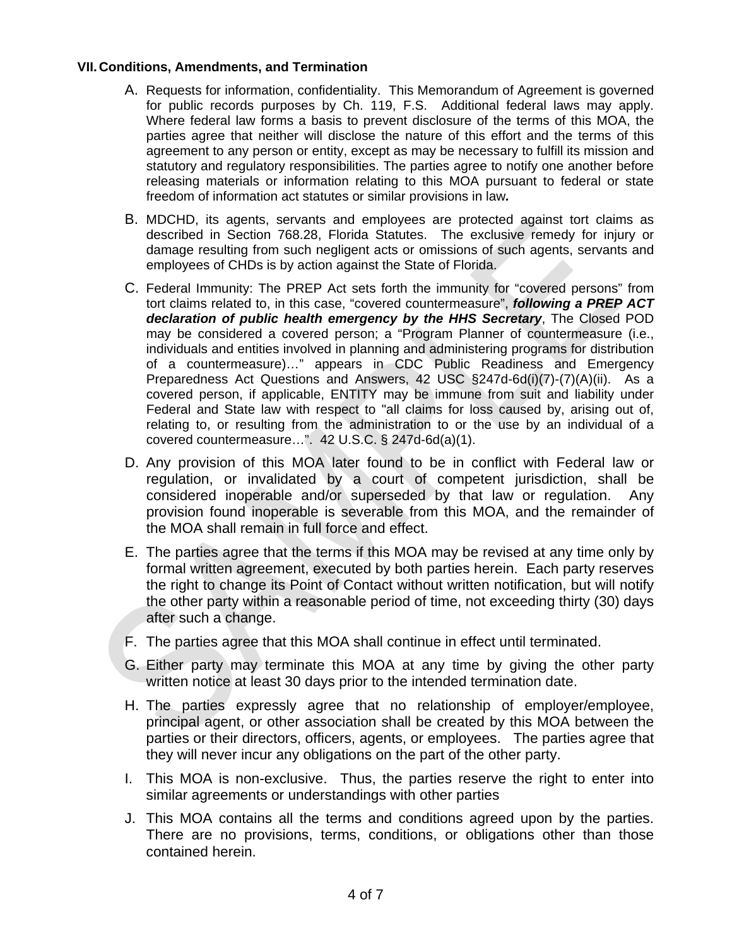#### **VII.Conditions, Amendments, and Termination**

- A. Requests for information, confidentiality. This Memorandum of Agreement is governed for public records purposes by Ch. 119, F.S. Additional federal laws may apply. Where federal law forms a basis to prevent disclosure of the terms of this MOA, the parties agree that neither will disclose the nature of this effort and the terms of this agreement to any person or entity, except as may be necessary to fulfill its mission and statutory and regulatory responsibilities. The parties agree to notify one another before releasing materials or information relating to this MOA pursuant to federal or state freedom of information act statutes or similar provisions in law*.*
- B. MDCHD, its agents, servants and employees are protected against tort claims as described in Section 768.28, Florida Statutes. The exclusive remedy for injury or damage resulting from such negligent acts or omissions of such agents, servants and employees of CHDs is by action against the State of Florida.
- C. Federal Immunity: The PREP Act sets forth the immunity for "covered persons" from tort claims related to, in this case, "covered countermeasure", *following a PREP ACT declaration of public health emergency by the HHS Secretary*, The Closed POD may be considered a covered person; a "Program Planner of countermeasure (i.e., individuals and entities involved in planning and administering programs for distribution of a countermeasure)…" appears in CDC Public Readiness and Emergency Preparedness Act Questions and Answers, 42 USC §247d-6d(i)(7)-(7)(A)(ii). As a covered person, if applicable, ENTITY may be immune from suit and liability under Federal and State law with respect to "all claims for loss caused by, arising out of, relating to, or resulting from the administration to or the use by an individual of a covered countermeasure…". 42 U.S.C. § 247d-6d(a)(1).
- D. Any provision of this MOA later found to be in conflict with Federal law or regulation, or invalidated by a court of competent jurisdiction, shall be considered inoperable and/or superseded by that law or regulation. Any provision found inoperable is severable from this MOA, and the remainder of the MOA shall remain in full force and effect.
- E. The parties agree that the terms if this MOA may be revised at any time only by formal written agreement, executed by both parties herein. Each party reserves the right to change its Point of Contact without written notification, but will notify the other party within a reasonable period of time, not exceeding thirty (30) days after such a change.
- F. The parties agree that this MOA shall continue in effect until terminated.
- G. Either party may terminate this MOA at any time by giving the other party written notice at least 30 days prior to the intended termination date.
- H. The parties expressly agree that no relationship of employer/employee, principal agent, or other association shall be created by this MOA between the parties or their directors, officers, agents, or employees. The parties agree that they will never incur any obligations on the part of the other party.
- I. This MOA is non-exclusive. Thus, the parties reserve the right to enter into similar agreements or understandings with other parties
- J. This MOA contains all the terms and conditions agreed upon by the parties. There are no provisions, terms, conditions, or obligations other than those contained herein.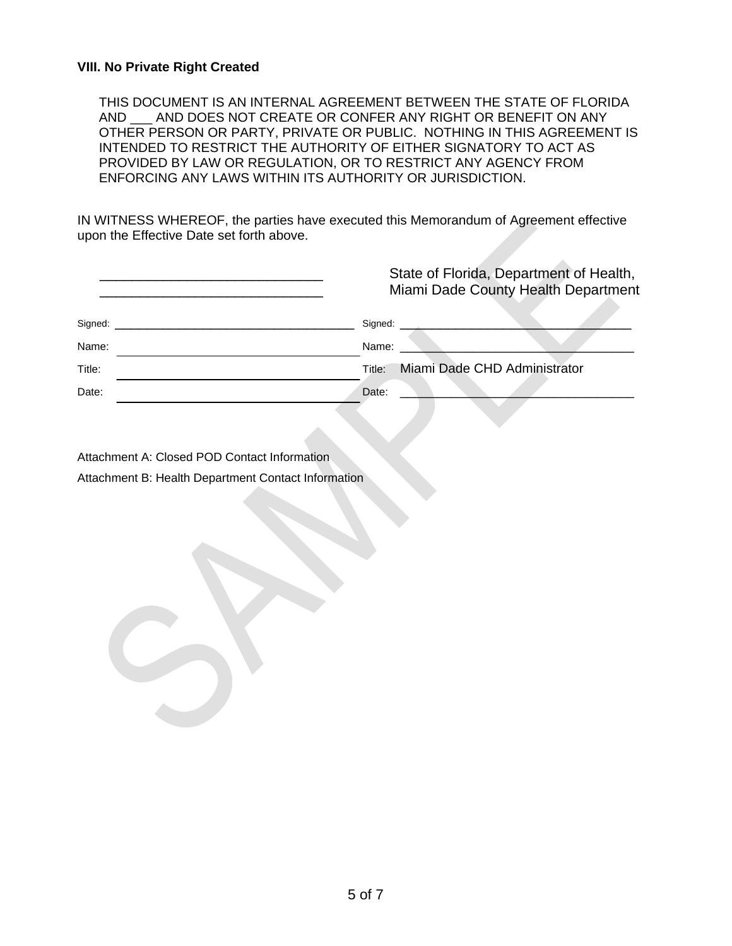#### **VIII. No Private Right Created**

THIS DOCUMENT IS AN INTERNAL AGREEMENT BETWEEN THE STATE OF FLORIDA AND AND DOES NOT CREATE OR CONFER ANY RIGHT OR BENEFIT ON ANY OTHER PERSON OR PARTY, PRIVATE OR PUBLIC. NOTHING IN THIS AGREEMENT IS INTENDED TO RESTRICT THE AUTHORITY OF EITHER SIGNATORY TO ACT AS PROVIDED BY LAW OR REGULATION, OR TO RESTRICT ANY AGENCY FROM ENFORCING ANY LAWS WITHIN ITS AUTHORITY OR JURISDICTION.

IN WITNESS WHEREOF, the parties have executed this Memorandum of Agreement effective upon the Effective Date set forth above.

|         | State of Florida, Department of Health,<br>Miami Dade County Health Department |
|---------|--------------------------------------------------------------------------------|
| Signed: | Signed:                                                                        |
| Name:   | Name:                                                                          |
| Title:  | Miami Dade CHD Administrator<br>Title:                                         |
| Date:   | Date:                                                                          |
|         |                                                                                |

Attachment A: Closed POD Contact Information Attachment B: Health Department Contact Information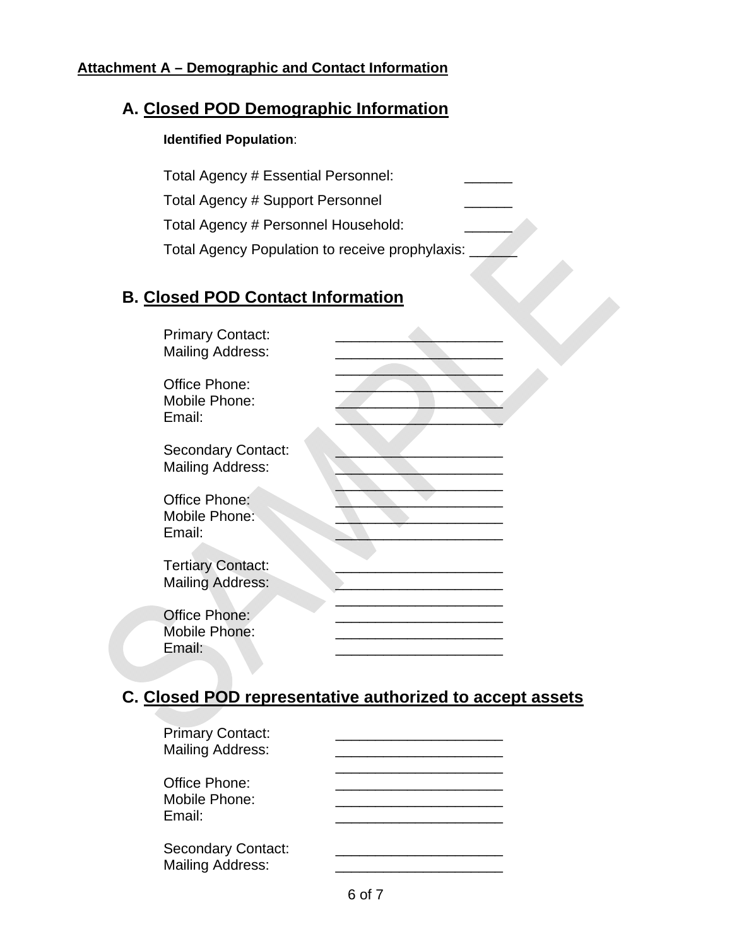# **Attachment A – Demographic and Contact Information**

# **A. Closed POD Demographic Information**

# **Identified Population**:

Total Agency # Essential Personnel: Total Agency # Support Personnel Total Agency # Personnel Household: Total Agency Population to receive prophylaxis: \_\_\_\_\_\_

# **B. Closed POD Contact Information**

|                                          | <b>Primary Contact:</b><br><b>Mailing Address:</b>   |  |
|------------------------------------------|------------------------------------------------------|--|
| Office Phone:<br>Mobile Phone:<br>Email: |                                                      |  |
|                                          | <b>Secondary Contact:</b><br><b>Mailing Address:</b> |  |
| Office Phone:<br>Mobile Phone:<br>Email: |                                                      |  |
|                                          | <b>Tertiary Contact:</b><br><b>Mailing Address:</b>  |  |
| Office Phone:<br>Mobile Phone:<br>Email: |                                                      |  |

# **C. Closed POD representative authorized to accept assets**

| <b>Primary Contact:</b><br><b>Mailing Address:</b>   |  |
|------------------------------------------------------|--|
| Office Phone:<br>Mobile Phone:<br>Email:             |  |
| <b>Secondary Contact:</b><br><b>Mailing Address:</b> |  |